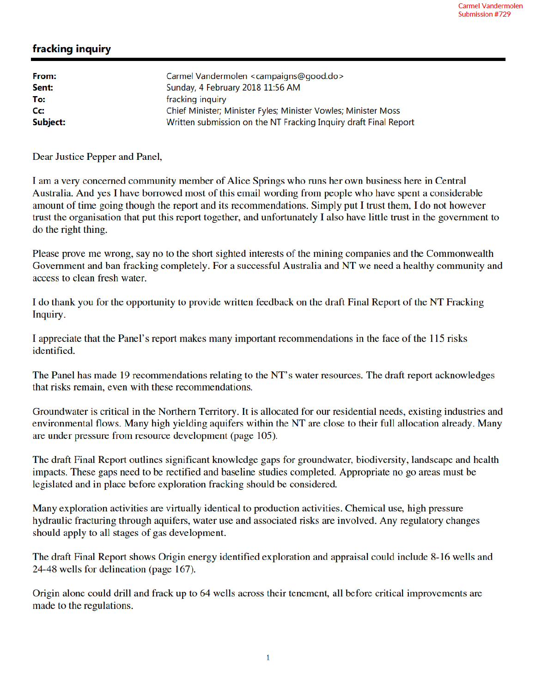## fracking inquiry

| From:    | Carmel Vandermolen <campaigns@good.do></campaigns@good.do>       |
|----------|------------------------------------------------------------------|
| Sent:    | Sunday, 4 February 2018 11:56 AM                                 |
| To:      | fracking inquiry                                                 |
| Cc:      | Chief Minister; Minister Fyles; Minister Vowles; Minister Moss   |
| Subject: | Written submission on the NT Fracking Inquiry draft Final Report |

Dear Justice Pepper and Panel,

I am a very concerned community member of Alice Springs who runs her own business here in Central Australia. And yes I have borrowed most of this email wording from people who have spent a considerable amount of time going though the report and its recommendations. Simply put I trust them, I do not however trust the organisation that put this report together, and unfortunately I also have little trust in the government to do the right thing.

Please prove me wrong, say no to the short sighted interests of the mining companies and the Commonwealth Government and ban fracking completely. For a successful Australia and NT we need a healthy community and access to clean fresh water.

I do thank you for the opportunity to provide written feedback on the draft Final Report of the NT Fracking Inquiry.

I appreciate that the Panel's report makes many important recommendations in the face of the 115 risks identified.

The Panel has made 19 recommendations relating to the NT's water resources. The draft report acknowledges that risks remain, even with these recommendations.

Groundwater is critical in the Northern Territory. It is allocated for our residential needs, existing industries and environmental flows. Many high yielding aquifers within the NT are close to their full allocation already. Many are under pressure from resource development (page 105).

The draft Final Report outlines significant knowledge gaps for groundwater, biodiversity, landscape and health impacts. These gaps need to be rectified and baseline studies completed. Appropriate no go areas must be legislated and in place before exploration fracking should be considered.

Many exploration activities are virtually identical to production activities. Chemical use, high pressure hydraulic fracturing through aquifers, water use and associated risks are involved. Any regulatory changes should apply to all stages of gas development.

The draft Final Report shows Origin energy identified exploration and appraisal could include 8-16 wells and 24-48 wells for delineation (page 167).

Origin alone could drill and frack up to 64 wells across their tenement, all before critical improvements are made to the regulations.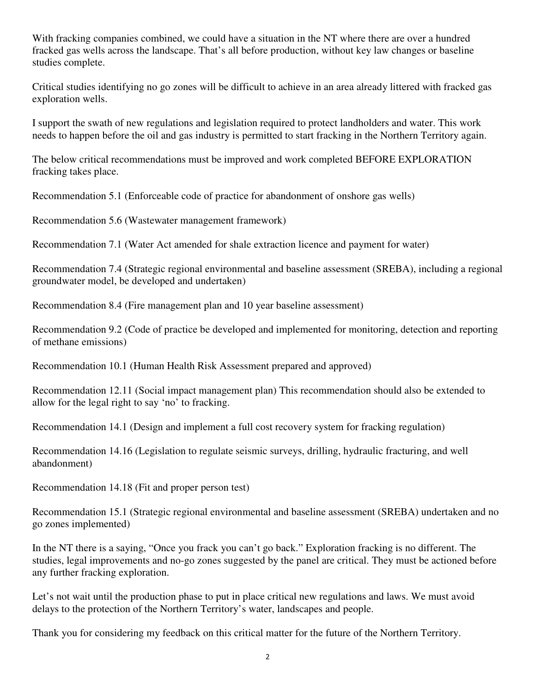With fracking companies combined, we could have a situation in the NT where there are over a hundred fracked gas wells across the landscape. That's all before production, without key law changes or baseline studies complete.

Critical studies identifying no go zones will be difficult to achieve in an area already littered with fracked gas exploration wells.

I support the swath of new regulations and legislation required to protect landholders and water. This work needs to happen before the oil and gas industry is permitted to start fracking in the Northern Territory again.

The below critical recommendations must be improved and work completed BEFORE EXPLORATION fracking takes place.

Recommendation 5.1 (Enforceable code of practice for abandonment of onshore gas wells)

Recommendation 5.6 (Wastewater management framework)

Recommendation 7.1 (Water Act amended for shale extraction licence and payment for water)

Recommendation 7.4 (Strategic regional environmental and baseline assessment (SREBA), including a regional groundwater model, be developed and undertaken)

Recommendation 8.4 (Fire management plan and 10 year baseline assessment)

Recommendation 9.2 (Code of practice be developed and implemented for monitoring, detection and reporting of methane emissions)

Recommendation 10.1 (Human Health Risk Assessment prepared and approved)

Recommendation 12.11 (Social impact management plan) This recommendation should also be extended to allow for the legal right to say 'no' to fracking.

Recommendation 14.1 (Design and implement a full cost recovery system for fracking regulation)

Recommendation 14.16 (Legislation to regulate seismic surveys, drilling, hydraulic fracturing, and well abandonment)

Recommendation 14.18 (Fit and proper person test)

Recommendation 15.1 (Strategic regional environmental and baseline assessment (SREBA) undertaken and no go zones implemented)

In the NT there is a saying, "Once you frack you can't go back." Exploration fracking is no different. The studies, legal improvements and no-go zones suggested by the panel are critical. They must be actioned before any further fracking exploration.

Let's not wait until the production phase to put in place critical new regulations and laws. We must avoid delays to the protection of the Northern Territory's water, landscapes and people.

Thank you for considering my feedback on this critical matter for the future of the Northern Territory.